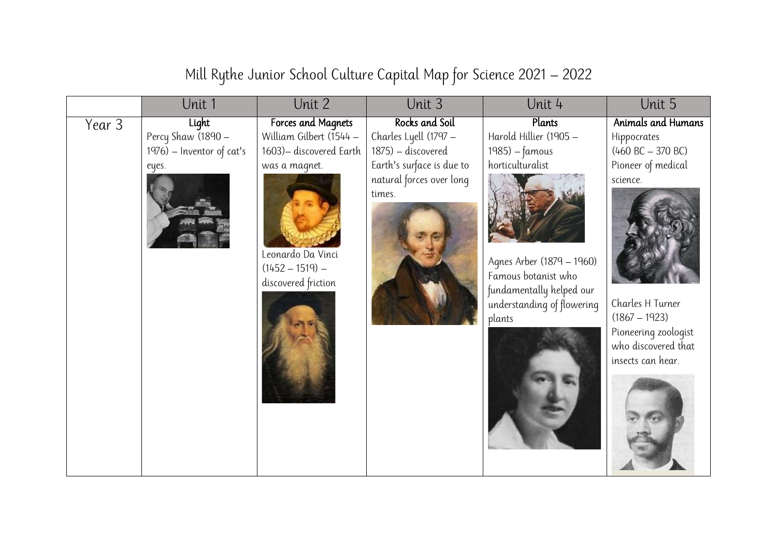## Unit 1 Unit 2 Unit 3 Unit 4 Unit 5 Year 3 Light Percy Shaw (1890 – 1976) – Inventor of cat's eyes. Forces and Magnets William Gilbert (1544 – 1603)– discovered Earth was a magnet. Leonardo Da Vinci  $(1452 - 1519)$ discovered friction Rocks and Soil Charles Lyell (1797 – 1875) – discovered Earth's surface is due to natural forces over long times. **Plants** Harold Hillier (1905 – 1985) – famous horticulturalist Agnes Arber (1879 – 1960) Famous botanist who fundamentally helped our understanding of flowering plants Animals and Humans Hippocrates  $(460 \text{ BC} - 370 \text{ BC})$ Pioneer of medical science. Charles H Turner (1867 – 1923) Pioneering zoologist who discovered that insects can hear.

Mill Rythe Junior School Culture Capital Map for Science 2021 – 2022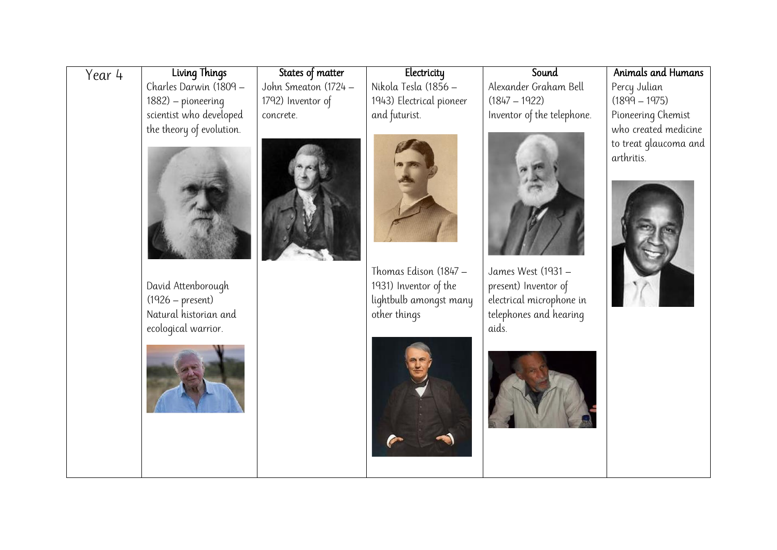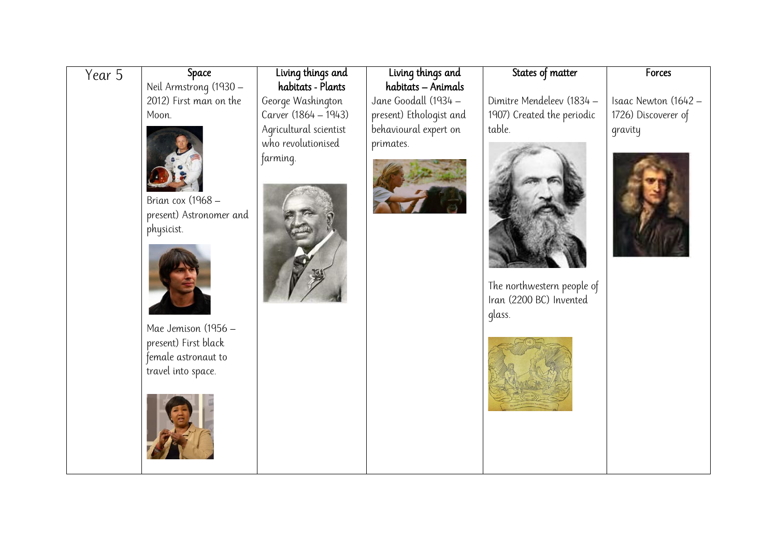| Year 5 | Space                   | Living things and      | Living things and       | States of matter                                      | Forces               |
|--------|-------------------------|------------------------|-------------------------|-------------------------------------------------------|----------------------|
|        | Neil Armstrong (1930 -  | habitats - Plants      | habitats - Animals      |                                                       |                      |
|        | 2012) First man on the  | George Washington      | Jane Goodall (1934 -    | Dimitre Mendeleev (1834 -                             | Isaac Newton (1642 - |
|        | Moon.                   | Carver (1864 - 1943)   | present) Ethologist and | 1907) Created the periodic                            | 1726) Discoverer of  |
|        |                         | Agricultural scientist | behavioural expert on   | table.                                                | gravity              |
|        |                         | who revolutionised     | primates.               |                                                       |                      |
|        |                         | farming.               |                         |                                                       |                      |
|        |                         |                        |                         |                                                       |                      |
|        |                         |                        |                         |                                                       |                      |
|        | Brian cox (1968 -       |                        |                         |                                                       |                      |
|        | present) Astronomer and |                        |                         |                                                       |                      |
|        | physicist.              |                        |                         |                                                       |                      |
|        |                         |                        |                         |                                                       |                      |
|        |                         |                        |                         |                                                       |                      |
|        |                         |                        |                         |                                                       |                      |
|        |                         |                        |                         | The northwestern people of<br>Iran (2200 BC) Invented |                      |
|        |                         |                        |                         |                                                       |                      |
|        | Mae Jemison (1956 -     |                        |                         | glass.                                                |                      |
|        | present) First black    |                        |                         |                                                       |                      |
|        | female astronaut to     |                        |                         |                                                       |                      |
|        | travel into space.      |                        |                         |                                                       |                      |
|        |                         |                        |                         |                                                       |                      |
|        |                         |                        |                         |                                                       |                      |
|        |                         |                        |                         |                                                       |                      |
|        |                         |                        |                         |                                                       |                      |
|        |                         |                        |                         |                                                       |                      |
|        |                         |                        |                         |                                                       |                      |
|        |                         |                        |                         |                                                       |                      |